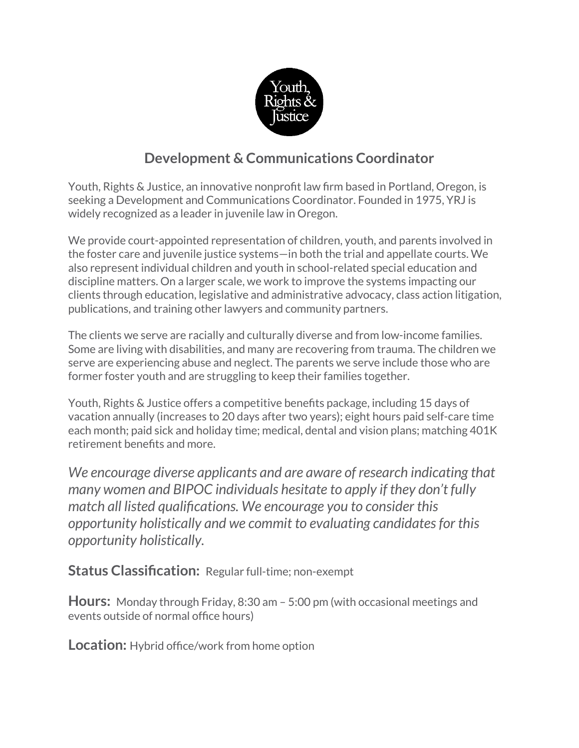

# **Development & Communications Coordinator**

Youth, Rights & Justice, an innovative nonprofit law firm based in Portland, Oregon, is seeking a Development and Communications Coordinator. Founded in 1975, YRJ is widely recognized as a leader in juvenile law in Oregon.

We provide court-appointed representation of children, youth, and parents involved in the foster care and juvenile justice systems—in both the trial and appellate courts. We also represent individual children and youth in school-related special education and discipline matters. On a larger scale, we work to improve the systems impacting our clients through education, legislative and administrative advocacy, class action litigation, publications, and training other lawyers and community partners.

The clients we serve are racially and culturally diverse and from low-income families. Some are living with disabilities, and many are recovering from trauma. The children we serve are experiencing abuse and neglect. The parents we serve include those who are former foster youth and are struggling to keep their families together.

Youth, Rights & Justice offers a competitive benefits package, including 15 days of vacation annually (increases to 20 days after two years); eight hours paid self-care time each month; paid sick and holiday time; medical, dental and vision plans; matching 401K retirement benefits and more.

*We encourage diverse applicants and are aware of research indicating that many women and BIPOC individuals hesitate to apply if they don't fully match all listed qualifications. We encourage you to consider this opportunity holistically and we commit to evaluating candidates for this opportunity holistically.*

**Status Classification:** Regular full-time; non-exempt

**Hours:** Monday through Friday, 8:30 am – 5:00 pm (with occasional meetings and events outside of normal office hours)

**Location:** Hybrid office/work from home option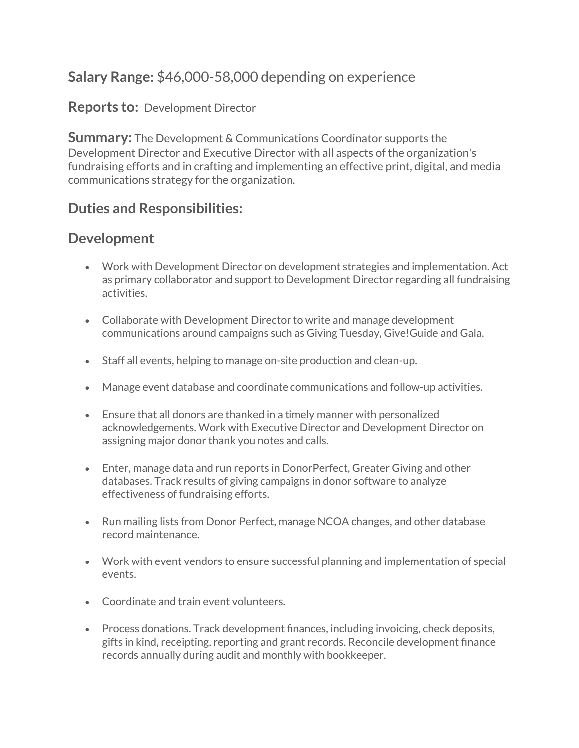# **Salary Range:** \$46,000-58,000 depending on experience

#### **Reports to:** Development Director

**Summary:** The Development & Communications Coordinator supports the Development Director and Executive Director with all aspects of the organization's fundraising efforts and in crafting and implementing an effective print, digital, and media communications strategy for the organization.

## **Duties and Responsibilities:**

### **Development**

- Work with Development Director on development strategies and implementation. Act as primary collaborator and support to Development Director regarding all fundraising activities.
- Collaborate with Development Director to write and manage development communications around campaigns such as Giving Tuesday, Give!Guide and Gala.
- Staff all events, helping to manage on-site production and clean-up.
- Manage event database and coordinate communications and follow-up activities.
- Ensure that all donors are thanked in a timely manner with personalized acknowledgements. Work with Executive Director and Development Director on assigning major donor thank you notes and calls.
- Enter, manage data and run reports in DonorPerfect, Greater Giving and other databases. Track results of giving campaigns in donor software to analyze effectiveness of fundraising efforts.
- Run mailing lists from Donor Perfect, manage NCOA changes, and other database record maintenance.
- Work with event vendors to ensure successful planning and implementation of special events.
- Coordinate and train event volunteers.
- Process donations. Track development finances, including invoicing, check deposits, gifts in kind, receipting, reporting and grant records. Reconcile development finance records annually during audit and monthly with bookkeeper.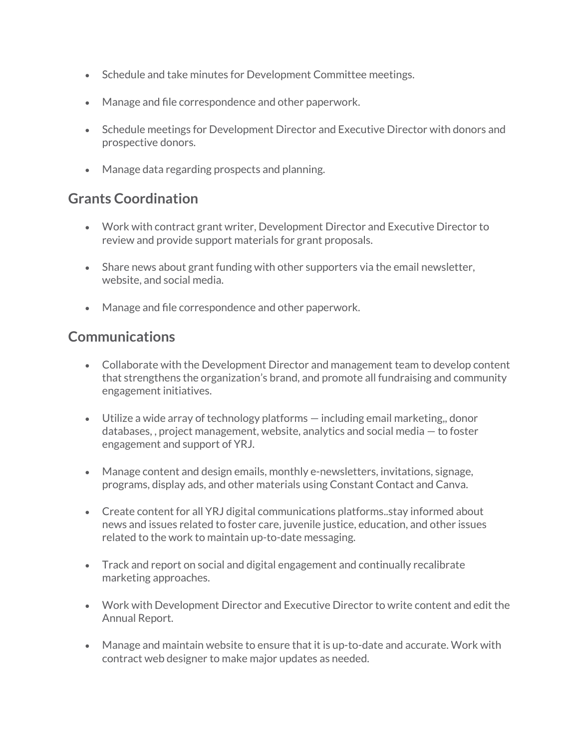- Schedule and take minutes for Development Committee meetings.
- Manage and file correspondence and other paperwork.
- Schedule meetings for Development Director and Executive Director with donors and prospective donors.
- Manage data regarding prospects and planning.

## **Grants Coordination**

- Work with contract grant writer, Development Director and Executive Director to review and provide support materials for grant proposals.
- Share news about grant funding with other supporters via the email newsletter, website, and social media.
- Manage and file correspondence and other paperwork.

### **Communications**

- Collaborate with the Development Director and management team to develop content that strengthens the organization's brand, and promote all fundraising and community engagement initiatives.
- Utilize a wide array of technology platforms including email marketing,, donor databases, , project management, website, analytics and social media — to foster engagement and support of YRJ.
- Manage content and design emails, monthly e-newsletters, invitations, signage, programs, display ads, and other materials using Constant Contact and Canva.
- Create content for all YRJ digital communications platforms..stay informed about news and issues related to foster care, juvenile justice, education, and other issues related to the work to maintain up-to-date messaging.
- Track and report on social and digital engagement and continually recalibrate marketing approaches.
- Work with Development Director and Executive Director to write content and edit the Annual Report.
- Manage and maintain website to ensure that it is up-to-date and accurate. Work with contract web designer to make major updates as needed.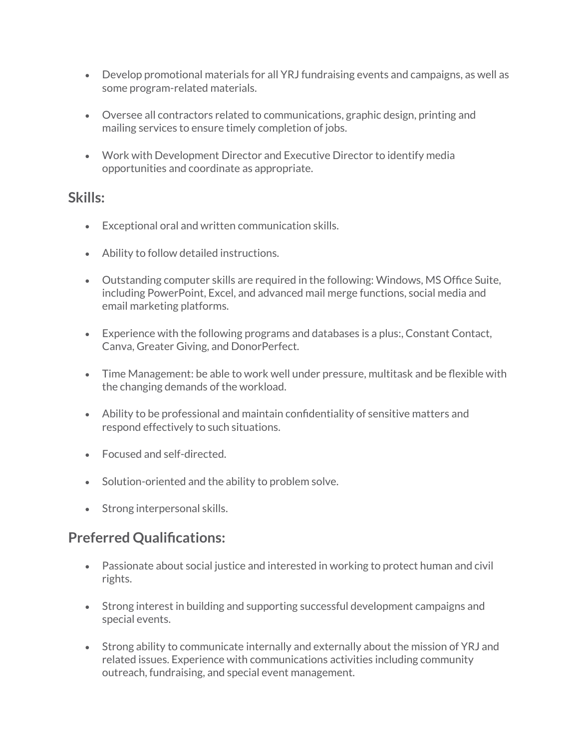- Develop promotional materials for all YRJ fundraising events and campaigns, as well as some program-related materials.
- Oversee all contractors related to communications, graphic design, printing and mailing services to ensure timely completion of jobs.
- Work with Development Director and Executive Director to identify media opportunities and coordinate as appropriate.

#### **Skills:**

- Exceptional oral and written communication skills.
- Ability to follow detailed instructions.
- Outstanding computer skills are required in the following: Windows, MS Office Suite, including PowerPoint, Excel, and advanced mail merge functions, social media and email marketing platforms.
- Experience with the following programs and databases is a plus:, Constant Contact, Canva, Greater Giving, and DonorPerfect.
- Time Management: be able to work well under pressure, multitask and be flexible with the changing demands of the workload.
- Ability to be professional and maintain confidentiality of sensitive matters and respond effectively to such situations.
- Focused and self-directed.
- Solution-oriented and the ability to problem solve.
- Strong interpersonal skills.

# **Preferred Qualifications:**

- Passionate about social justice and interested in working to protect human and civil rights.
- Strong interest in building and supporting successful development campaigns and special events.
- Strong ability to communicate internally and externally about the mission of YRJ and related issues. Experience with communications activities including community outreach, fundraising, and special event management.